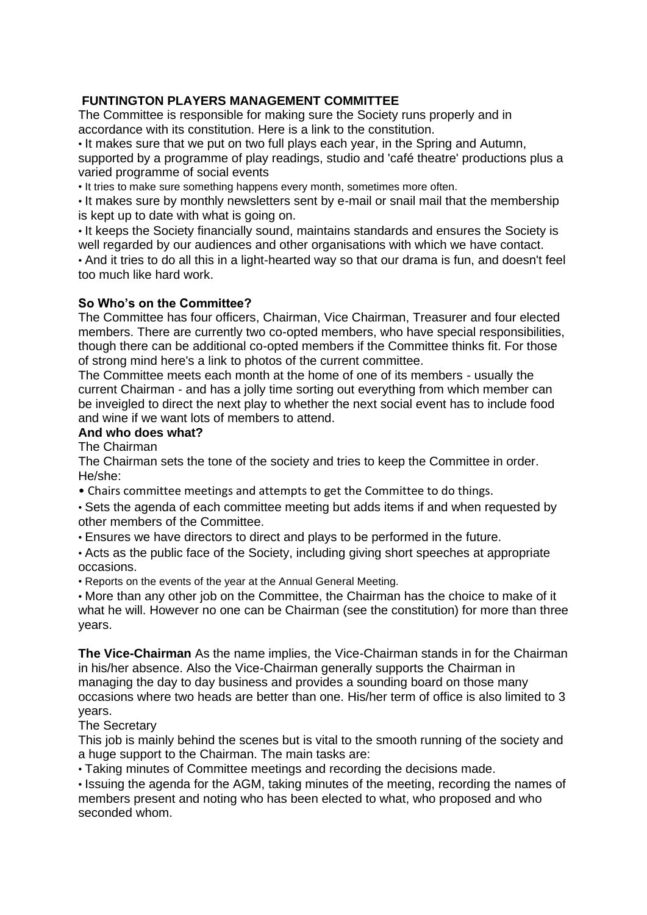# **FUNTINGTON PLAYERS MANAGEMENT COMMITTEE**

The Committee is responsible for making sure the Society runs properly and in accordance with its constitution. Here is a link to the constitution.

• It makes sure that we put on two full plays each year, in the Spring and Autumn, supported by a programme of play readings, studio and 'café theatre' productions plus a varied programme of social events

• It tries to make sure something happens every month, sometimes more often.

• It makes sure by monthly newsletters sent by e-mail or snail mail that the membership is kept up to date with what is going on.

• It keeps the Society financially sound, maintains standards and ensures the Society is well regarded by our audiences and other organisations with which we have contact. • And it tries to do all this in a light-hearted way so that our drama is fun, and doesn't feel too much like hard work.

## **So Who's on the Committee?**

The Committee has four officers, Chairman, Vice Chairman, Treasurer and four elected members. There are currently two co-opted members, who have special responsibilities, though there can be additional co-opted members if the Committee thinks fit. For those of strong mind here's a link to photos of the current committee.

The Committee meets each month at the home of one of its members - usually the current Chairman - and has a jolly time sorting out everything from which member can be inveigled to direct the next play to whether the next social event has to include food and wine if we want lots of members to attend.

#### **And who does what?**

The Chairman

The Chairman sets the tone of the society and tries to keep the Committee in order. He/she:

• Chairs committee meetings and attempts to get the Committee to do things.

• Sets the agenda of each committee meeting but adds items if and when requested by other members of the Committee.

• Ensures we have directors to direct and plays to be performed in the future.

• Acts as the public face of the Society, including giving short speeches at appropriate occasions.

• Reports on the events of the year at the Annual General Meeting.

• More than any other job on the Committee, the Chairman has the choice to make of it what he will. However no one can be Chairman (see the constitution) for more than three years.

**The Vice-Chairman** As the name implies, the Vice-Chairman stands in for the Chairman in his/her absence. Also the Vice-Chairman generally supports the Chairman in managing the day to day business and provides a sounding board on those many occasions where two heads are better than one. His/her term of office is also limited to 3 years.

## The Secretary

This job is mainly behind the scenes but is vital to the smooth running of the society and a huge support to the Chairman. The main tasks are:

• Taking minutes of Committee meetings and recording the decisions made.

• Issuing the agenda for the AGM, taking minutes of the meeting, recording the names of members present and noting who has been elected to what, who proposed and who seconded whom.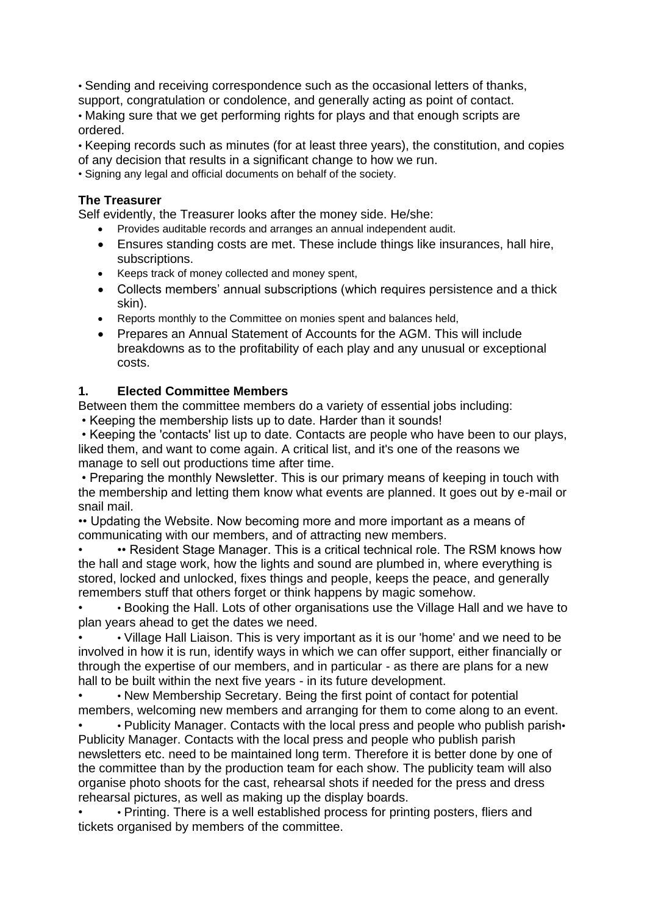• Sending and receiving correspondence such as the occasional letters of thanks, support, congratulation or condolence, and generally acting as point of contact. • Making sure that we get performing rights for plays and that enough scripts are ordered.

• Keeping records such as minutes (for at least three years), the constitution, and copies of any decision that results in a significant change to how we run.

• Signing any legal and official documents on behalf of the society.

## **The Treasurer**

Self evidently, the Treasurer looks after the money side. He/she:

- Provides auditable records and arranges an annual independent audit.
- Ensures standing costs are met. These include things like insurances, hall hire, subscriptions.
- Keeps track of money collected and money spent,
- Collects members' annual subscriptions (which requires persistence and a thick skin).
- Reports monthly to the Committee on monies spent and balances held,
- Prepares an Annual Statement of Accounts for the AGM. This will include breakdowns as to the profitability of each play and any unusual or exceptional costs.

## **1. Elected Committee Members**

Between them the committee members do a variety of essential jobs including:

• Keeping the membership lists up to date. Harder than it sounds!

• Keeping the 'contacts' list up to date. Contacts are people who have been to our plays, liked them, and want to come again. A critical list, and it's one of the reasons we manage to sell out productions time after time.

• Preparing the monthly Newsletter. This is our primary means of keeping in touch with the membership and letting them know what events are planned. It goes out by e-mail or snail mail.

•• Updating the Website. Now becoming more and more important as a means of communicating with our members, and of attracting new members.

• •• Resident Stage Manager. This is a critical technical role. The RSM knows how the hall and stage work, how the lights and sound are plumbed in, where everything is stored, locked and unlocked, fixes things and people, keeps the peace, and generally remembers stuff that others forget or think happens by magic somehow.

• • Booking the Hall. Lots of other organisations use the Village Hall and we have to plan years ahead to get the dates we need.

• • Village Hall Liaison. This is very important as it is our 'home' and we need to be involved in how it is run, identify ways in which we can offer support, either financially or through the expertise of our members, and in particular - as there are plans for a new hall to be built within the next five years - in its future development.

• New Membership Secretary. Being the first point of contact for potential members, welcoming new members and arranging for them to come along to an event.

• • Publicity Manager. Contacts with the local press and people who publish parish• Publicity Manager. Contacts with the local press and people who publish parish newsletters etc. need to be maintained long term. Therefore it is better done by one of the committee than by the production team for each show. The publicity team will also organise photo shoots for the cast, rehearsal shots if needed for the press and dress rehearsal pictures, as well as making up the display boards.

• • Printing. There is a well established process for printing posters, fliers and tickets organised by members of the committee.